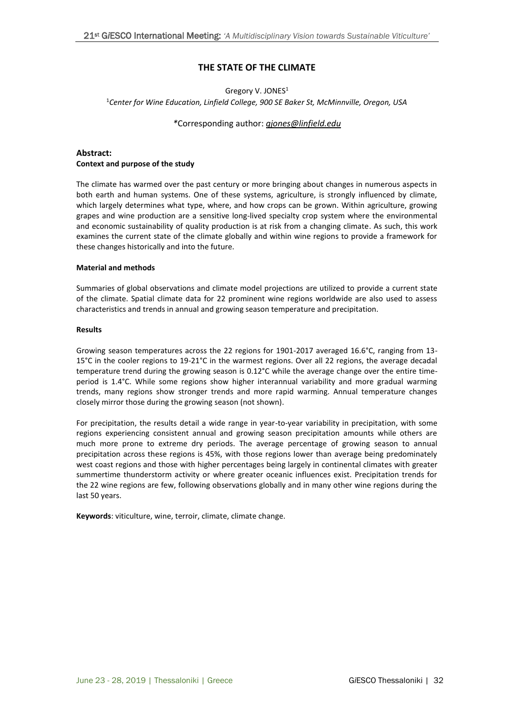## **THE STATE OF THE CLIMATE**

# Gregory V. JONES<sup>1</sup> <sup>1</sup>*Center for Wine Education, Linfield College, 900 SE Baker St, McMinnville, Oregon, USA*

#### *\**Corresponding author: *[gjones@linfield.edu](mailto:gjones@linfield.edu)*

## **Abstract: Context and purpose of the study**

The climate has warmed over the past century or more bringing about changes in numerous aspects in both earth and human systems. One of these systems, agriculture, is strongly influenced by climate, which largely determines what type, where, and how crops can be grown. Within agriculture, growing grapes and wine production are a sensitive long-lived specialty crop system where the environmental and economic sustainability of quality production is at risk from a changing climate. As such, this work examines the current state of the climate globally and within wine regions to provide a framework for these changes historically and into the future.

### **Material and methods**

Summaries of global observations and climate model projections are utilized to provide a current state of the climate. Spatial climate data for 22 prominent wine regions worldwide are also used to assess characteristics and trends in annual and growing season temperature and precipitation.

#### **Results**

Growing season temperatures across the 22 regions for 1901-2017 averaged 16.6°C, ranging from 13- 15°C in the cooler regions to 19-21°C in the warmest regions. Over all 22 regions, the average decadal temperature trend during the growing season is 0.12°C while the average change over the entire timeperiod is 1.4°C. While some regions show higher interannual variability and more gradual warming trends, many regions show stronger trends and more rapid warming. Annual temperature changes closely mirror those during the growing season (not shown).

For precipitation, the results detail a wide range in year-to-year variability in precipitation, with some regions experiencing consistent annual and growing season precipitation amounts while others are much more prone to extreme dry periods. The average percentage of growing season to annual precipitation across these regions is 45%, with those regions lower than average being predominately west coast regions and those with higher percentages being largely in continental climates with greater summertime thunderstorm activity or where greater oceanic influences exist. Precipitation trends for the 22 wine regions are few, following observations globally and in many other wine regions during the last 50 years.

**Keywords**: viticulture, wine, terroir, climate, climate change.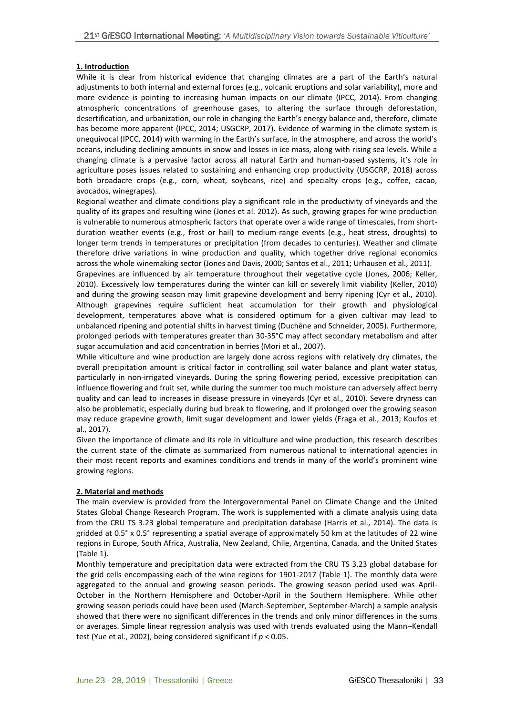## **1. Introduction**

While it is clear from historical evidence that changing climates are a part of the Earth's natural adjustments to both internal and external forces (e.g., volcanic eruptions and solar variability), more and more evidence is pointing to increasing human impacts on our climate (IPCC, 2014). From changing atmospheric concentrations of greenhouse gases, to altering the surface through deforestation, desertification, and urbanization, our role in changing the Earth's energy balance and, therefore, climate has become more apparent (IPCC, 2014; USGCRP, 2017). Evidence of warming in the climate system is unequivocal (IPCC, 2014) with warming in the Earth's surface, in the atmosphere, and across the world's oceans, including declining amounts in snow and losses in ice mass, along with rising sea levels. While a changing climate is a pervasive factor across all natural Earth and human-based systems, it's role in agriculture poses issues related to sustaining and enhancing crop productivity (USGCRP, 2018) across both broadacre crops (e.g., corn, wheat, soybeans, rice) and specialty crops (e.g., coffee, cacao, avocados, winegrapes).

Regional weather and climate conditions play a significant role in the productivity of vineyards and the quality of its grapes and resulting wine (Jones et al. 2012). As such, growing grapes for wine production is vulnerable to numerous atmospheric factors that operate over a wide range of timescales, from shortduration weather events (e.g., frost or hail) to medium-range events (e.g., heat stress, droughts) to longer term trends in temperatures or precipitation (from decades to centuries). Weather and climate therefore drive variations in wine production and quality, which together drive regional economics across the whole winemaking sector (Jones and Davis, 2000; Santos et al., 2011; Urhausen et al., 2011).

Grapevines are influenced by air temperature throughout their vegetative cycle (Jones, 2006; Keller, 2010). Excessively low temperatures during the winter can kill or severely limit viability (Keller, 2010) and during the growing season may limit grapevine development and berry ripening (Cyr et al., 2010). Although grapevines require sufficient heat accumulation for their growth and physiological development, temperatures above what is considered optimum for a given cultivar may lead to unbalanced ripening and potential shifts in harvest timing (Duchêne and Schneider, 2005). Furthermore, prolonged periods with temperatures greater than 30-35°C may affect secondary metabolism and alter sugar accumulation and acid concentration in berries (Mori et al., 2007).

While viticulture and wine production are largely done across regions with relatively dry climates, the overall precipitation amount is critical factor in controlling soil water balance and plant water status, particularly in non-irrigated vineyards. During the spring flowering period, excessive precipitation can influence flowering and fruit set, while during the summer too much moisture can adversely affect berry quality and can lead to increases in disease pressure in vineyards (Cyr et al., 2010). Severe dryness can also be problematic, especially during bud break to flowering, and if prolonged over the growing season may reduce grapevine growth, limit sugar development and lower yields (Fraga et al., 2013; Koufos et al., 2017).

Given the importance of climate and its role in viticulture and wine production, this research describes the current state of the climate as summarized from numerous national to international agencies in their most recent reports and examines conditions and trends in many of the world's prominent wine growing regions.

# **2. Material and methods**

The main overview is provided from the Intergovernmental Panel on Climate Change and the United States Global Change Research Program. The work is supplemented with a climate analysis using data from the CRU TS 3.23 global temperature and precipitation database (Harris et al., 2014). The data is gridded at 0.5° x 0.5° representing a spatial average of approximately 50 km at the latitudes of 22 wine regions in Europe, South Africa, Australia, New Zealand, Chile, Argentina, Canada, and the United States (Table 1).

Monthly temperature and precipitation data were extracted from the CRU TS 3.23 global database for the grid cells encompassing each of the wine regions for 1901-2017 (Table 1). The monthly data were aggregated to the annual and growing season periods. The growing season period used was April-October in the Northern Hemisphere and October-April in the Southern Hemisphere. While other growing season periods could have been used (March-September, September-March) a sample analysis showed that there were no significant differences in the trends and only minor differences in the sums or averages. Simple linear regression analysis was used with trends evaluated using the Mann–Kendall test (Yue et al., 2002), being considered significant if *p* < 0.05.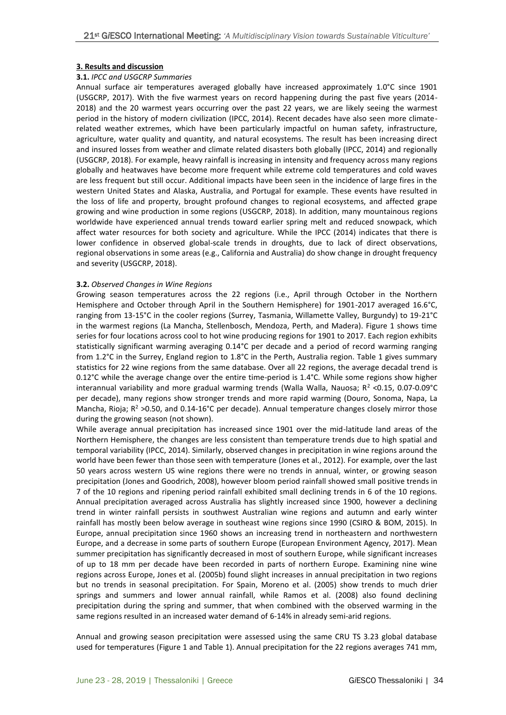#### **3. Results and discussion**

#### **3.1.** *IPCC and USGCRP Summaries*

Annual surface air temperatures averaged globally have increased approximately 1.0°C since 1901 (USGCRP, 2017). With the five warmest years on record happening during the past five years (2014- 2018) and the 20 warmest years occurring over the past 22 years, we are likely seeing the warmest period in the history of modern civilization (IPCC, 2014). Recent decades have also seen more climaterelated weather extremes, which have been particularly impactful on human safety, infrastructure, agriculture, water quality and quantity, and natural ecosystems. The result has been increasing direct and insured losses from weather and climate related disasters both globally (IPCC, 2014) and regionally (USGCRP, 2018). For example, heavy rainfall is increasing in intensity and frequency across many regions globally and heatwaves have become more frequent while extreme cold temperatures and cold waves are less frequent but still occur. Additional impacts have been seen in the incidence of large fires in the western United States and Alaska, Australia, and Portugal for example. These events have resulted in the loss of life and property, brought profound changes to regional ecosystems, and affected grape growing and wine production in some regions (USGCRP, 2018). In addition, many mountainous regions worldwide have experienced annual trends toward earlier spring melt and reduced snowpack, which affect water resources for both society and agriculture. While the IPCC (2014) indicates that there is lower confidence in observed global-scale trends in droughts, due to lack of direct observations, regional observations in some areas (e.g., California and Australia) do show change in drought frequency and severity (USGCRP, 2018).

#### **3.2.** *Observed Changes in Wine Regions*

Growing season temperatures across the 22 regions (i.e., April through October in the Northern Hemisphere and October through April in the Southern Hemisphere) for 1901-2017 averaged 16.6°C, ranging from 13-15°C in the cooler regions (Surrey, Tasmania, Willamette Valley, Burgundy) to 19-21°C in the warmest regions (La Mancha, Stellenbosch, Mendoza, Perth, and Madera). Figure 1 shows time series for four locations across cool to hot wine producing regions for 1901 to 2017. Each region exhibits statistically significant warming averaging 0.14°C per decade and a period of record warming ranging from 1.2°C in the Surrey, England region to 1.8°C in the Perth, Australia region. Table 1 gives summary statistics for 22 wine regions from the same database. Over all 22 regions, the average decadal trend is 0.12°C while the average change over the entire time-period is 1.4°C. While some regions show higher interannual variability and more gradual warming trends (Walla Walla, Nauosa;  $R^2$  <0.15, 0.07-0.09°C per decade), many regions show stronger trends and more rapid warming (Douro, Sonoma, Napa, La Mancha, Rioja;  $R^2 > 0.50$ , and 0.14-16°C per decade). Annual temperature changes closely mirror those during the growing season (not shown).

While average annual precipitation has increased since 1901 over the mid-latitude land areas of the Northern Hemisphere, the changes are less consistent than temperature trends due to high spatial and temporal variability (IPCC, 2014). Similarly, observed changes in precipitation in wine regions around the world have been fewer than those seen with temperature (Jones et al., 2012). For example, over the last 50 years across western US wine regions there were no trends in annual, winter, or growing season precipitation (Jones and Goodrich, 2008), however bloom period rainfall showed small positive trends in 7 of the 10 regions and ripening period rainfall exhibited small declining trends in 6 of the 10 regions. Annual precipitation averaged across Australia has slightly increased since 1900, however a declining trend in winter rainfall persists in southwest Australian wine regions and autumn and early winter rainfall has mostly been below average in southeast wine regions since 1990 (CSIRO & BOM, 2015). In Europe, annual precipitation since 1960 shows an increasing trend in northeastern and northwestern Europe, and a decrease in some parts of southern Europe (European Environment Agency, 2017). Mean summer precipitation has significantly decreased in most of southern Europe, while significant increases of up to 18 mm per decade have been recorded in parts of northern Europe. Examining nine wine regions across Europe, Jones et al. (2005b) found slight increases in annual precipitation in two regions but no trends in seasonal precipitation. For Spain, Moreno et al. (2005) show trends to much drier springs and summers and lower annual rainfall, while Ramos et al. (2008) also found declining precipitation during the spring and summer, that when combined with the observed warming in the same regions resulted in an increased water demand of 6-14% in already semi-arid regions.

Annual and growing season precipitation were assessed using the same CRU TS 3.23 global database used for temperatures (Figure 1 and Table 1). Annual precipitation for the 22 regions averages 741 mm,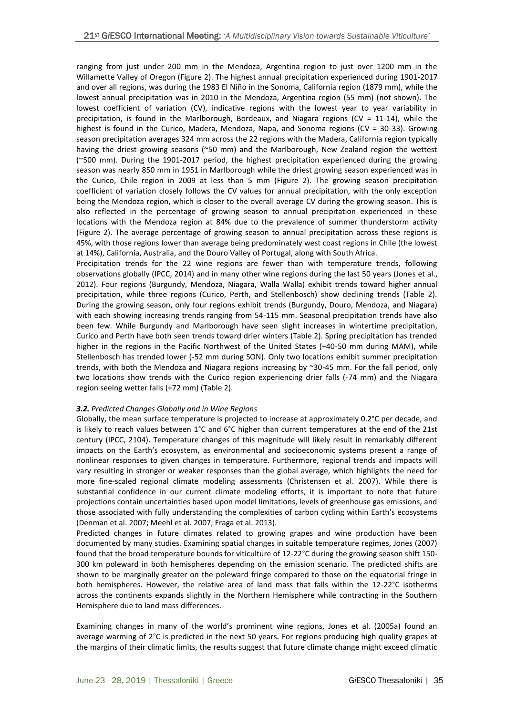ranging from just under 200 mm in the Mendoza, Argentina region to just over 1200 mm in the Willamette Valley of Oregon (Figure 2). The highest annual precipitation experienced during 1901-2017 and over all regions, was during the 1983 El Niño in the Sonoma, California region (1879 mm), while the lowest annual precipitation was in 2010 in the Mendoza, Argentina region (55 mm) (not shown). The lowest coefficient of variation (CV), indicative regions with the lowest year to year variability in precipitation, is found in the Marlborough, Bordeaux, and Niagara regions (CV = 11-14), while the highest is found in the Curico, Madera, Mendoza, Napa, and Sonoma regions (CV = 30-33). Growing season precipitation averages 324 mm across the 22 regions with the Madera, California region typically having the driest growing seasons (~50 mm) and the Marlborough, New Zealand region the wettest (~500 mm). During the 1901-2017 period, the highest precipitation experienced during the growing season was nearly 850 mm in 1951 in Marlborough while the driest growing season experienced was in the Curico, Chile region in 2009 at less than 5 mm (Figure 2). The growing season precipitation coefficient of variation closely follows the CV values for annual precipitation, with the only exception being the Mendoza region, which is closer to the overall average CV during the growing season. This is also reflected in the percentage of growing season to annual precipitation experienced in these locations with the Mendoza region at 84% due to the prevalence of summer thunderstorm activity (Figure 2). The average percentage of growing season to annual precipitation across these regions is 45%, with those regions lower than average being predominately west coast regions in Chile (the lowest at 14%), California, Australia, and the Douro Valley of Portugal, along with South Africa.

Precipitation trends for the 22 wine regions are fewer than with temperature trends, following observations globally (IPCC, 2014) and in many other wine regions during the last 50 years (Jones et al., 2012). Four regions (Burgundy, Mendoza, Niagara, Walla Walla) exhibit trends toward higher annual precipitation, while three regions (Curico, Perth, and Stellenbosch) show declining trends (Table 2). During the growing season, only four regions exhibit trends (Burgundy, Douro, Mendoza, and Niagara) with each showing increasing trends ranging from 54-115 mm. Seasonal precipitation trends have also been few. While Burgundy and Marlborough have seen slight increases in wintertime precipitation, Curico and Perth have both seen trends toward drier winters (Table 2). Spring precipitation has trended higher in the regions in the Pacific Northwest of the United States (+40-50 mm during MAM), while Stellenbosch has trended lower (-52 mm during SON). Only two locations exhibit summer precipitation trends, with both the Mendoza and Niagara regions increasing by ~30-45 mm. For the fall period, only two locations show trends with the Curico region experiencing drier falls (-74 mm) and the Niagara region seeing wetter falls (+72 mm) (Table 2).

## *3.2. Predicted Changes Globally and in Wine Regions*

Globally, the mean surface temperature is projected to increase at approximately 0.2°C per decade, and is likely to reach values between 1°C and 6°C higher than current temperatures at the end of the 21st century (IPCC, 2104). Temperature changes of this magnitude will likely result in remarkably different impacts on the Earth's ecosystem, as environmental and socioeconomic systems present a range of nonlinear responses to given changes in temperature. Furthermore, regional trends and impacts will vary resulting in stronger or weaker responses than the global average, which highlights the need for more fine-scaled regional climate modeling assessments (Christensen et al. 2007). While there is substantial confidence in our current climate modeling efforts, it is important to note that future projections contain uncertainties based upon model limitations, levels of greenhouse gas emissions, and those associated with fully understanding the complexities of carbon cycling within Earth's ecosystems (Denman et al. 2007; Meehl et al. 2007; Fraga et al. 2013).

Predicted changes in future climates related to growing grapes and wine production have been documented by many studies. Examining spatial changes in suitable temperature regimes, Jones (2007) found that the broad temperature bounds for viticulture of 12-22°C during the growing season shift 150- 300 km poleward in both hemispheres depending on the emission scenario. The predicted shifts are shown to be marginally greater on the poleward fringe compared to those on the equatorial fringe in both hemispheres. However, the relative area of land mass that falls within the 12-22°C isotherms across the continents expands slightly in the Northern Hemisphere while contracting in the Southern Hemisphere due to land mass differences.

Examining changes in many of the world's prominent wine regions, Jones et al. (2005a) found an average warming of 2°C is predicted in the next 50 years. For regions producing high quality grapes at the margins of their climatic limits, the results suggest that future climate change might exceed climatic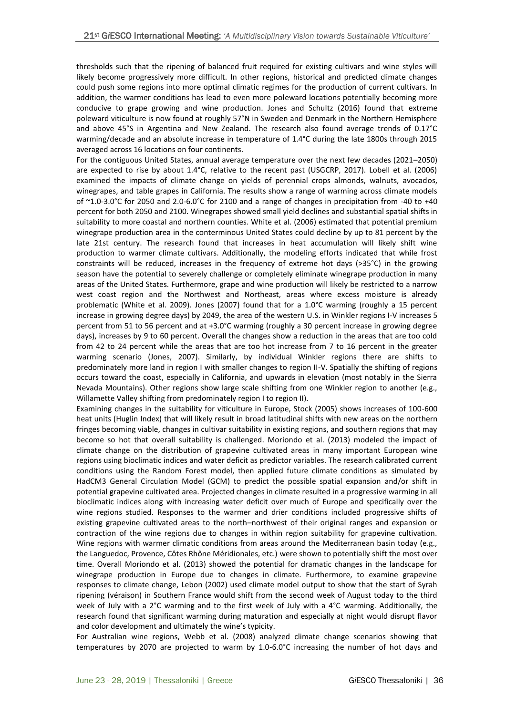thresholds such that the ripening of balanced fruit required for existing cultivars and wine styles will likely become progressively more difficult. In other regions, historical and predicted climate changes could push some regions into more optimal climatic regimes for the production of current cultivars. In addition, the warmer conditions has lead to even more poleward locations potentially becoming more conducive to grape growing and wine production. Jones and Schultz (2016) found that extreme poleward viticulture is now found at roughly 57°N in Sweden and Denmark in the Northern Hemisphere and above 45°S in Argentina and New Zealand. The research also found average trends of 0.17°C warming/decade and an absolute increase in temperature of 1.4°C during the late 1800s through 2015 averaged across 16 locations on four continents.

For the contiguous United States, annual average temperature over the next few decades (2021–2050) are expected to rise by about 1.4°C, relative to the recent past (USGCRP, 2017). Lobell et al. (2006) examined the impacts of climate change on yields of perennial crops almonds, walnuts, avocados, winegrapes, and table grapes in California. The results show a range of warming across climate models of ~1.0-3.0°C for 2050 and 2.0-6.0°C for 2100 and a range of changes in precipitation from -40 to +40 percent for both 2050 and 2100. Winegrapes showed small yield declines and substantial spatial shifts in suitability to more coastal and northern counties. White et al. (2006) estimated that potential premium winegrape production area in the conterminous United States could decline by up to 81 percent by the late 21st century. The research found that increases in heat accumulation will likely shift wine production to warmer climate cultivars. Additionally, the modeling efforts indicated that while frost constraints will be reduced, increases in the frequency of extreme hot days (>35°C) in the growing season have the potential to severely challenge or completely eliminate winegrape production in many areas of the United States. Furthermore, grape and wine production will likely be restricted to a narrow west coast region and the Northwest and Northeast, areas where excess moisture is already problematic (White et al. 2009). Jones (2007) found that for a 1.0°C warming (roughly a 15 percent increase in growing degree days) by 2049, the area of the western U.S. in Winkler regions I-V increases 5 percent from 51 to 56 percent and at +3.0°C warming (roughly a 30 percent increase in growing degree days), increases by 9 to 60 percent. Overall the changes show a reduction in the areas that are too cold from 42 to 24 percent while the areas that are too hot increase from 7 to 16 percent in the greater warming scenario (Jones, 2007). Similarly, by individual Winkler regions there are shifts to predominately more land in region I with smaller changes to region II-V. Spatially the shifting of regions occurs toward the coast, especially in California, and upwards in elevation (most notably in the Sierra Nevada Mountains). Other regions show large scale shifting from one Winkler region to another (e.g., Willamette Valley shifting from predominately region I to region II).

Examining changes in the suitability for viticulture in Europe, Stock (2005) shows increases of 100-600 heat units (Huglin Index) that will likely result in broad latitudinal shifts with new areas on the northern fringes becoming viable, changes in cultivar suitability in existing regions, and southern regions that may become so hot that overall suitability is challenged. Moriondo et al. (2013) modeled the impact of climate change on the distribution of grapevine cultivated areas in many important European wine regions using bioclimatic indices and water deficit as predictor variables. The research calibrated current conditions using the Random Forest model, then applied future climate conditions as simulated by HadCM3 General Circulation Model (GCM) to predict the possible spatial expansion and/or shift in potential grapevine cultivated area. Projected changes in climate resulted in a progressive warming in all bioclimatic indices along with increasing water deficit over much of Europe and specifically over the wine regions studied. Responses to the warmer and drier conditions included progressive shifts of existing grapevine cultivated areas to the north–northwest of their original ranges and expansion or contraction of the wine regions due to changes in within region suitability for grapevine cultivation. Wine regions with warmer climatic conditions from areas around the Mediterranean basin today (e.g., the Languedoc, Provence, Côtes Rhône Méridionales, etc.) were shown to potentially shift the most over time. Overall Moriondo et al. (2013) showed the potential for dramatic changes in the landscape for winegrape production in Europe due to changes in climate. Furthermore, to examine grapevine responses to climate change, Lebon (2002) used climate model output to show that the start of Syrah ripening (véraison) in Southern France would shift from the second week of August today to the third week of July with a 2°C warming and to the first week of July with a 4°C warming. Additionally, the research found that significant warming during maturation and especially at night would disrupt flavor and color development and ultimately the wine's typicity.

For Australian wine regions, Webb et al. (2008) analyzed climate change scenarios showing that temperatures by 2070 are projected to warm by 1.0-6.0°C increasing the number of hot days and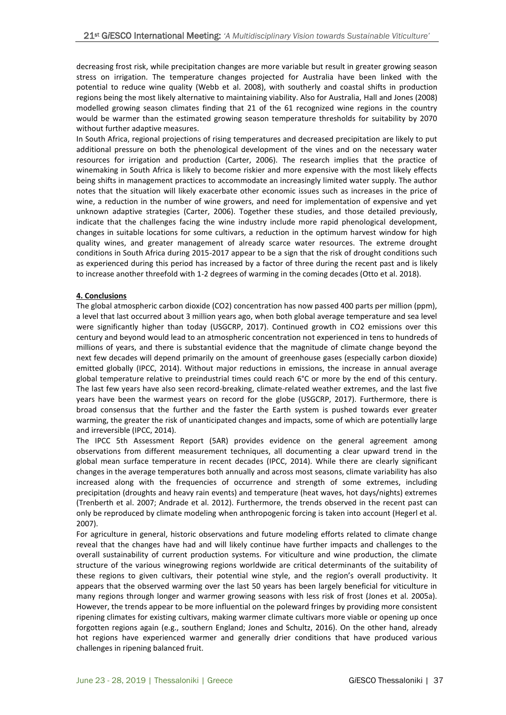decreasing frost risk, while precipitation changes are more variable but result in greater growing season stress on irrigation. The temperature changes projected for Australia have been linked with the potential to reduce wine quality (Webb et al. 2008), with southerly and coastal shifts in production regions being the most likely alternative to maintaining viability. Also for Australia, Hall and Jones (2008) modelled growing season climates finding that 21 of the 61 recognized wine regions in the country would be warmer than the estimated growing season temperature thresholds for suitability by 2070 without further adaptive measures.

In South Africa, regional projections of rising temperatures and decreased precipitation are likely to put additional pressure on both the phenological development of the vines and on the necessary water resources for irrigation and production (Carter, 2006). The research implies that the practice of winemaking in South Africa is likely to become riskier and more expensive with the most likely effects being shifts in management practices to accommodate an increasingly limited water supply. The author notes that the situation will likely exacerbate other economic issues such as increases in the price of wine, a reduction in the number of wine growers, and need for implementation of expensive and yet unknown adaptive strategies (Carter, 2006). Together these studies, and those detailed previously, indicate that the challenges facing the wine industry include more rapid phenological development, changes in suitable locations for some cultivars, a reduction in the optimum harvest window for high quality wines, and greater management of already scarce water resources. The extreme drought conditions in South Africa during 2015-2017 appear to be a sign that the risk of drought conditions such as experienced during this period has increased by a factor of three during the recent past and is likely to increase another threefold with 1-2 degrees of warming in the coming decades (Otto et al. 2018).

#### **4. Conclusions**

The global atmospheric carbon dioxide (CO2) concentration has now passed 400 parts per million (ppm), a level that last occurred about 3 million years ago, when both global average temperature and sea level were significantly higher than today (USGCRP, 2017). Continued growth in CO2 emissions over this century and beyond would lead to an atmospheric concentration not experienced in tens to hundreds of millions of years, and there is substantial evidence that the magnitude of climate change beyond the next few decades will depend primarily on the amount of greenhouse gases (especially carbon dioxide) emitted globally (IPCC, 2014). Without major reductions in emissions, the increase in annual average global temperature relative to preindustrial times could reach 6°C or more by the end of this century. The last few years have also seen record-breaking, climate-related weather extremes, and the last five years have been the warmest years on record for the globe (USGCRP, 2017). Furthermore, there is broad consensus that the further and the faster the Earth system is pushed towards ever greater warming, the greater the risk of unanticipated changes and impacts, some of which are potentially large and irreversible (IPCC, 2014).

The IPCC 5th Assessment Report (5AR) provides evidence on the general agreement among observations from different measurement techniques, all documenting a clear upward trend in the global mean surface temperature in recent decades (IPCC, 2014). While there are clearly significant changes in the average temperatures both annually and across most seasons, climate variability has also increased along with the frequencies of occurrence and strength of some extremes, including precipitation (droughts and heavy rain events) and temperature (heat waves, hot days/nights) extremes (Trenberth et al. 2007; Andrade et al. 2012). Furthermore, the trends observed in the recent past can only be reproduced by climate modeling when anthropogenic forcing is taken into account (Hegerl et al. 2007).

For agriculture in general, historic observations and future modeling efforts related to climate change reveal that the changes have had and will likely continue have further impacts and challenges to the overall sustainability of current production systems. For viticulture and wine production, the climate structure of the various winegrowing regions worldwide are critical determinants of the suitability of these regions to given cultivars, their potential wine style, and the region's overall productivity. It appears that the observed warming over the last 50 years has been largely beneficial for viticulture in many regions through longer and warmer growing seasons with less risk of frost (Jones et al. 2005a). However, the trends appear to be more influential on the poleward fringes by providing more consistent ripening climates for existing cultivars, making warmer climate cultivars more viable or opening up once forgotten regions again (e.g., southern England; Jones and Schultz, 2016). On the other hand, already hot regions have experienced warmer and generally drier conditions that have produced various challenges in ripening balanced fruit.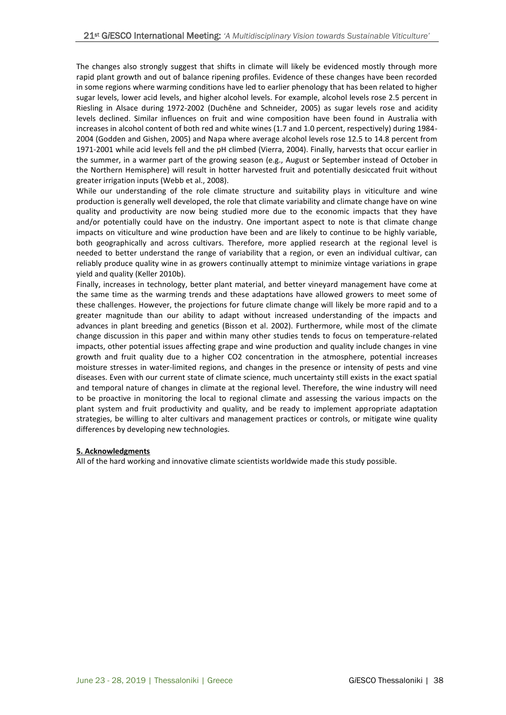The changes also strongly suggest that shifts in climate will likely be evidenced mostly through more rapid plant growth and out of balance ripening profiles. Evidence of these changes have been recorded in some regions where warming conditions have led to earlier phenology that has been related to higher sugar levels, lower acid levels, and higher alcohol levels. For example, alcohol levels rose 2.5 percent in Riesling in Alsace during 1972-2002 (Duchêne and Schneider, 2005) as sugar levels rose and acidity levels declined. Similar influences on fruit and wine composition have been found in Australia with increases in alcohol content of both red and white wines (1.7 and 1.0 percent, respectively) during 1984- 2004 (Godden and Gishen, 2005) and Napa where average alcohol levels rose 12.5 to 14.8 percent from 1971-2001 while acid levels fell and the pH climbed (Vierra, 2004). Finally, harvests that occur earlier in the summer, in a warmer part of the growing season (e.g., August or September instead of October in the Northern Hemisphere) will result in hotter harvested fruit and potentially desiccated fruit without greater irrigation inputs (Webb et al., 2008).

While our understanding of the role climate structure and suitability plays in viticulture and wine production is generally well developed, the role that climate variability and climate change have on wine quality and productivity are now being studied more due to the economic impacts that they have and/or potentially could have on the industry. One important aspect to note is that climate change impacts on viticulture and wine production have been and are likely to continue to be highly variable, both geographically and across cultivars. Therefore, more applied research at the regional level is needed to better understand the range of variability that a region, or even an individual cultivar, can reliably produce quality wine in as growers continually attempt to minimize vintage variations in grape yield and quality (Keller 2010b).

Finally, increases in technology, better plant material, and better vineyard management have come at the same time as the warming trends and these adaptations have allowed growers to meet some of these challenges. However, the projections for future climate change will likely be more rapid and to a greater magnitude than our ability to adapt without increased understanding of the impacts and advances in plant breeding and genetics (Bisson et al. 2002). Furthermore, while most of the climate change discussion in this paper and within many other studies tends to focus on temperature-related impacts, other potential issues affecting grape and wine production and quality include changes in vine growth and fruit quality due to a higher CO2 concentration in the atmosphere, potential increases moisture stresses in water-limited regions, and changes in the presence or intensity of pests and vine diseases. Even with our current state of climate science, much uncertainty still exists in the exact spatial and temporal nature of changes in climate at the regional level. Therefore, the wine industry will need to be proactive in monitoring the local to regional climate and assessing the various impacts on the plant system and fruit productivity and quality, and be ready to implement appropriate adaptation strategies, be willing to alter cultivars and management practices or controls, or mitigate wine quality differences by developing new technologies.

## **5. Acknowledgments**

All of the hard working and innovative climate scientists worldwide made this study possible.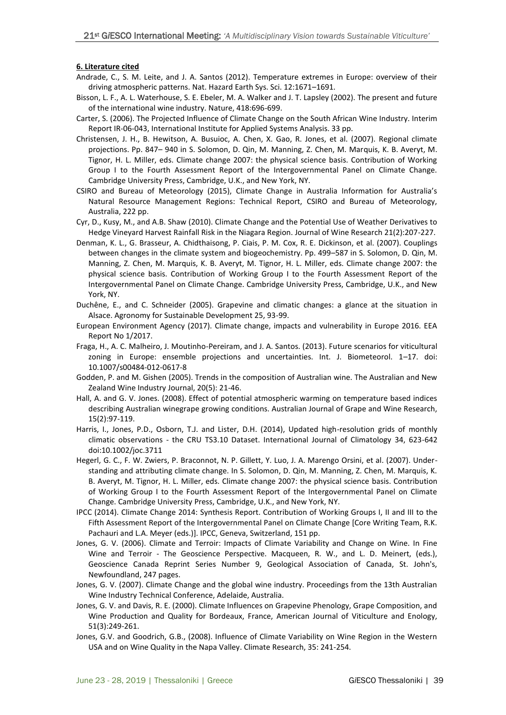#### **6. Literature cited**

- Andrade, C., S. M. Leite, and J. A. Santos (2012). Temperature extremes in Europe: overview of their driving atmospheric patterns. Nat. Hazard Earth Sys. Sci. 12:1671–1691.
- Bisson, L. F., A. L. Waterhouse, S. E. Ebeler, M. A. Walker and J. T. Lapsley (2002). The present and future of the international wine industry. Nature, 418:696-699.
- Carter, S. (2006). The Projected Influence of Climate Change on the South African Wine Industry. Interim Report IR-06-043, International Institute for Applied Systems Analysis. 33 pp.
- Christensen, J. H., B. Hewitson, A. Busuioc, A. Chen, X. Gao, R. Jones, et al. (2007). Regional climate projections. Pp. 847– 940 in S. Solomon, D. Qin, M. Manning, Z. Chen, M. Marquis, K. B. Averyt, M. Tignor, H. L. Miller, eds. Climate change 2007: the physical science basis. Contribution of Working Group I to the Fourth Assessment Report of the Intergovernmental Panel on Climate Change. Cambridge University Press, Cambridge, U.K., and New York, NY.
- CSIRO and Bureau of Meteorology (2015), Climate Change in Australia Information for Australia's Natural Resource Management Regions: Technical Report, CSIRO and Bureau of Meteorology, Australia, 222 pp.
- Cyr, D., Kusy, M., and A.B. Shaw (2010). Climate Change and the Potential Use of Weather Derivatives to Hedge Vineyard Harvest Rainfall Risk in the Niagara Region. Journal of Wine Research 21(2):207-227.
- Denman, K. L., G. Brasseur, A. Chidthaisong, P. Ciais, P. M. Cox, R. E. Dickinson, et al. (2007). Couplings between changes in the climate system and biogeochemistry. Pp. 499–587 in S. Solomon, D. Qin, M. Manning, Z. Chen, M. Marquis, K. B. Averyt, M. Tignor, H. L. Miller, eds. Climate change 2007: the physical science basis. Contribution of Working Group I to the Fourth Assessment Report of the Intergovernmental Panel on Climate Change. Cambridge University Press, Cambridge, U.K., and New York, NY.
- Duchêne, E., and C. Schneider (2005). Grapevine and climatic changes: a glance at the situation in Alsace. Agronomy for Sustainable Development 25, 93-99.
- European Environment Agency (2017). Climate change, impacts and vulnerability in Europe 2016. EEA Report No 1/2017.
- Fraga, H., A. C. Malheiro, J. Moutinho-Pereiram, and J. A. Santos. (2013). Future scenarios for viticultural zoning in Europe: ensemble projections and uncertainties. Int. J. Biometeorol. 1–17. doi: 10.1007/s00484-012-0617-8
- Godden, P. and M. Gishen (2005). Trends in the composition of Australian wine. The Australian and New Zealand Wine Industry Journal, 20(5): 21-46.
- Hall, A. and G. V. Jones. (2008). Effect of potential atmospheric warming on temperature based indices describing Australian winegrape growing conditions. Australian Journal of Grape and Wine Research, 15(2):97-119.
- Harris, I., Jones, P.D., Osborn, T.J. and Lister, D.H. (2014), Updated high-resolution grids of monthly climatic observations - the CRU TS3.10 Dataset. International Journal of Climatology 34, 623-642 doi:10.1002/joc.3711
- Hegerl, G. C., F. W. Zwiers, P. Braconnot, N. P. Gillett, Y. Luo, J. A. Marengo Orsini, et al. (2007). Understanding and attributing climate change. In S. Solomon, D. Qin, M. Manning, Z. Chen, M. Marquis, K. B. Averyt, M. Tignor, H. L. Miller, eds. Climate change 2007: the physical science basis. Contribution of Working Group I to the Fourth Assessment Report of the Intergovernmental Panel on Climate Change. Cambridge University Press, Cambridge, U.K., and New York, NY.
- IPCC (2014). Climate Change 2014: Synthesis Report. Contribution of Working Groups I, II and III to the Fifth Assessment Report of the Intergovernmental Panel on Climate Change [Core Writing Team, R.K. Pachauri and L.A. Meyer (eds.)]. IPCC, Geneva, Switzerland, 151 pp.
- Jones, G. V. (2006). Climate and Terroir: Impacts of Climate Variability and Change on Wine. In Fine Wine and Terroir - The Geoscience Perspective. Macqueen, R. W., and L. D. Meinert, (eds.), Geoscience Canada Reprint Series Number 9, Geological Association of Canada, St. John's, Newfoundland, 247 pages.
- Jones, G. V. (2007). Climate Change and the global wine industry. Proceedings from the 13th Australian Wine Industry Technical Conference, Adelaide, Australia.
- Jones, G. V. and Davis, R. E. (2000). Climate Influences on Grapevine Phenology, Grape Composition, and Wine Production and Quality for Bordeaux, France, American Journal of Viticulture and Enology, 51(3):249-261.
- Jones, G.V. and Goodrich, G.B., (2008). Influence of Climate Variability on Wine Region in the Western USA and on Wine Quality in the Napa Valley. Climate Research, 35: 241-254.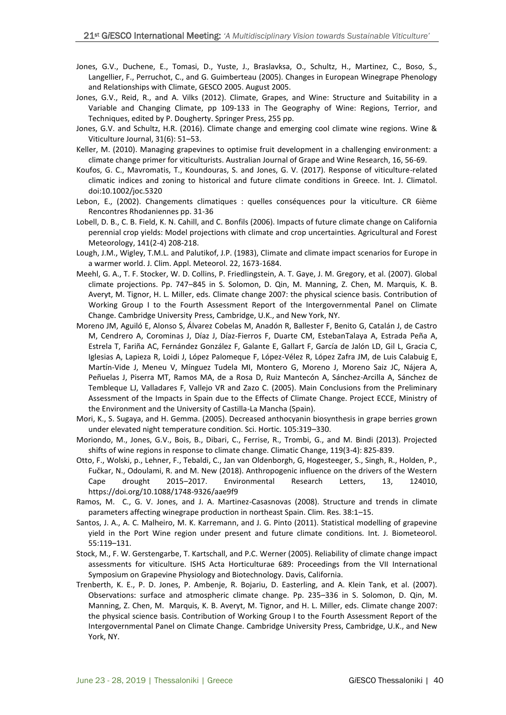- Jones, G.V., Duchene, E., Tomasi, D., Yuste, J., Braslavksa, O., Schultz, H., Martinez, C., Boso, S., Langellier, F., Perruchot, C., and G. Guimberteau (2005). Changes in European Winegrape Phenology and Relationships with Climate, GESCO 2005. August 2005.
- Jones, G.V., Reid, R., and A. Vilks (2012). Climate, Grapes, and Wine: Structure and Suitability in a Variable and Changing Climate, pp 109-133 in The Geography of Wine: Regions, Terrior, and Techniques, edited by P. Dougherty. Springer Press, 255 pp.
- Jones, G.V. and Schultz, H.R. (2016). Climate change and emerging cool climate wine regions. Wine & Viticulture Journal, 31(6): 51–53.
- Keller, M. (2010). Managing grapevines to optimise fruit development in a challenging environment: a climate change primer for viticulturists. Australian Journal of Grape and Wine Research, 16, 56-69.
- Koufos, G. C., Mavromatis, T., Koundouras, S. and Jones, G. V. (2017). Response of viticulture-related climatic indices and zoning to historical and future climate conditions in Greece. Int. J. Climatol. doi:10.1002/joc.5320
- Lebon, E., (2002). Changements climatiques : quelles conséquences pour la viticulture. CR 6ième Rencontres Rhodaniennes pp. 31-36
- Lobell, D. B., C. B. Field, K. N. Cahill, and C. Bonfils (2006). Impacts of future climate change on California perennial crop yields: Model projections with climate and crop uncertainties. Agricultural and Forest Meteorology, 141(2-4) 208-218.
- Lough, J.M., Wigley, T.M.L. and Palutikof, J.P. (1983), Climate and climate impact scenarios for Europe in a warmer world. J. Clim. Appl. Meteorol. 22, 1673-1684.
- Meehl, G. A., T. F. Stocker, W. D. Collins, P. Friedlingstein, A. T. Gaye, J. M. Gregory, et al. (2007). Global climate projections. Pp. 747–845 in S. Solomon, D. Qin, M. Manning, Z. Chen, M. Marquis, K. B. Averyt, M. Tignor, H. L. Miller, eds. Climate change 2007: the physical science basis. Contribution of Working Group I to the Fourth Assessment Report of the Intergovernmental Panel on Climate Change. Cambridge University Press, Cambridge, U.K., and New York, NY.
- Moreno JM, Aguiló E, Alonso S, Álvarez Cobelas M, Anadón R, Ballester F, Benito G, Catalán J, de Castro M, Cendrero A, Corominas J, Díaz J, Díaz-Fierros F, Duarte CM, EstebanTalaya A, Estrada Peña A, Estrela T, Fariña AC, Fernández González F, Galante E, Gallart F, García de Jalón LD, Gil L, Gracia C, Iglesias A, Lapieza R, Loidi J, López Palomeque F, López-Vélez R, López Zafra JM, de Luis Calabuig E, Martín-Vide J, Meneu V, Mínguez Tudela MI, Montero G, Moreno J, Moreno Saiz JC, Nájera A, Peñuelas J, Piserra MT, Ramos MA, de a Rosa D, Ruiz Mantecón A, Sánchez-Arcilla A, Sánchez de Tembleque LJ, Valladares F, Vallejo VR and Zazo C. (2005). Main Conclusions from the Preliminary Assessment of the Impacts in Spain due to the Effects of Climate Change. Project ECCE, Ministry of the Environment and the University of Castilla-La Mancha (Spain).
- Mori, K., S. Sugaya, and H. Gemma. (2005). Decreased anthocyanin biosynthesis in grape berries grown under elevated night temperature condition. Sci. Hortic. 105:319–330.
- Moriondo, M., Jones, G.V., Bois, B., Dibari, C., Ferrise, R., Trombi, G., and M. Bindi (2013). Projected shifts of wine regions in response to climate change. Climatic Change, 119(3-4): 825-839.
- Otto, F., Wolski, p., Lehner, F., Tebaldi, C., Jan van Oldenborgh, G, Hogesteeger, S., Singh, R., Holden, P., Fučkar, N., Odoulami, R. and M. New (2018). Anthropogenic influence on the drivers of the Western Cape drought 2015–2017. Environmental Research Letters, 13, 124010, https://doi.org/10.1088/1748-9326/aae9f9
- Ramos, M. C., G. V. Jones, and J. A. Martinez-Casasnovas (2008). Structure and trends in climate parameters affecting winegrape production in northeast Spain. Clim. Res. 38:1–15.
- Santos, J. A., A. C. Malheiro, M. K. Karremann, and J. G. Pinto (2011). Statistical modelling of grapevine yield in the Port Wine region under present and future climate conditions. Int. J. Biometeorol. 55:119–131.
- Stock, M., F. W. Gerstengarbe, T. Kartschall, and P.C. Werner (2005). Reliability of climate change impact assessments for viticulture. ISHS Acta Horticulturae 689: Proceedings from the VII International Symposium on Grapevine Physiology and Biotechnology. Davis, California.
- Trenberth, K. E., P. D. Jones, P. Ambenje, R. Bojariu, D. Easterling, and A. Klein Tank, et al. (2007). Observations: surface and atmospheric climate change. Pp. 235–336 in S. Solomon, D. Qin, M. Manning, Z. Chen, M. Marquis, K. B. Averyt, M. Tignor, and H. L. Miller, eds. Climate change 2007: the physical science basis. Contribution of Working Group I to the Fourth Assessment Report of the Intergovernmental Panel on Climate Change. Cambridge University Press, Cambridge, U.K., and New York, NY.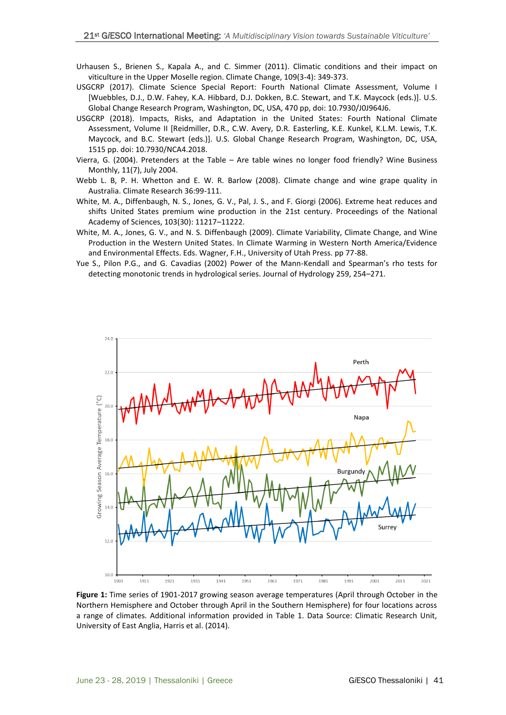- Urhausen S., Brienen S., Kapala A., and C. Simmer (2011). Climatic conditions and their impact on viticulture in the Upper Moselle region. Climate Change, 109(3-4): 349-373.
- USGCRP (2017). Climate Science Special Report: Fourth National Climate Assessment, Volume I [Wuebbles, D.J., D.W. Fahey, K.A. Hibbard, D.J. Dokken, B.C. Stewart, and T.K. Maycock (eds.)]. U.S. Global Change Research Program, Washington, DC, USA, 470 pp, doi: 10.7930/J0J964J6.
- USGCRP (2018). Impacts, Risks, and Adaptation in the United States: Fourth National Climate Assessment, Volume II [Reidmiller, D.R., C.W. Avery, D.R. Easterling, K.E. Kunkel, K.L.M. Lewis, T.K. Maycock, and B.C. Stewart (eds.)]. U.S. Global Change Research Program, Washington, DC, USA, 1515 pp. doi: 10.7930/NCA4.2018.
- Vierra, G. (2004). Pretenders at the Table Are table wines no longer food friendly? Wine Business Monthly, 11(7), July 2004.
- Webb L. B, P. H. Whetton and E. W. R. Barlow (2008). Climate change and wine grape quality in Australia. Climate Research 36:99-111.
- White, M. A., Diffenbaugh, N. S., Jones, G. V., Pal, J. S., and F. Giorgi (2006). Extreme heat reduces and shifts United States premium wine production in the 21st century. Proceedings of the National Academy of Sciences, 103(30): 11217–11222.
- White, M. A., Jones, G. V., and N. S. Diffenbaugh (2009). Climate Variability, Climate Change, and Wine Production in the Western United States. In Climate Warming in Western North America/Evidence and Environmental Effects. Eds. Wagner, F.H., University of Utah Press. pp 77-88.
- Yue S., Pilon P.G., and G. Cavadias (2002) Power of the Mann-Kendall and Spearman's rho tests for detecting monotonic trends in hydrological series. Journal of Hydrology 259, 254–271.



**Figure 1:** Time series of 1901-2017 growing season average temperatures (April through October in the Northern Hemisphere and October through April in the Southern Hemisphere) for four locations across a range of climates. Additional information provided in Table 1. Data Source: Climatic Research Unit, University of East Anglia, Harris et al. (2014).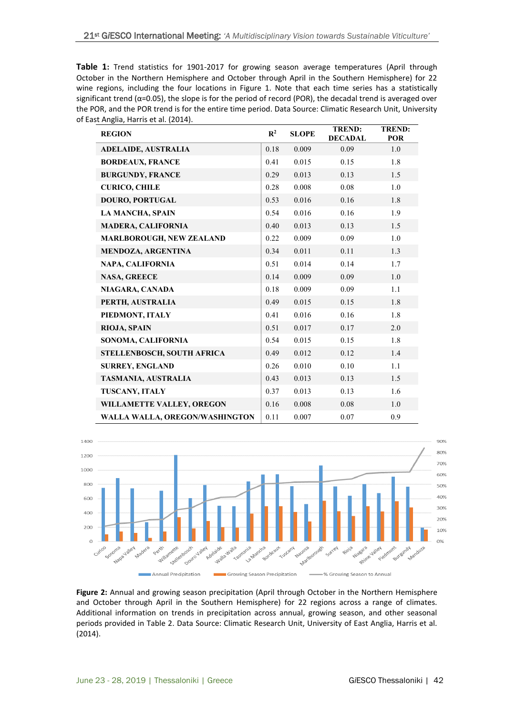**Table 1:** Trend statistics for 1901-2017 for growing season average temperatures (April through October in the Northern Hemisphere and October through April in the Southern Hemisphere) for 22 wine regions, including the four locations in Figure 1. Note that each time series has a statistically significant trend ( $\alpha$ =0.05), the slope is for the period of record (POR), the decadal trend is averaged over the POR, and the POR trend is for the entire time period. Data Source: Climatic Research Unit, University of East Anglia, Harris et al. (2014).

| <b>REGION</b>                   | $\mathbb{R}^2$ | <b>SLOPE</b> | <b>TREND:</b><br><b>DECADAL</b> | <b>TREND:</b><br>POR |
|---------------------------------|----------------|--------------|---------------------------------|----------------------|
| <b>ADELAIDE, AUSTRALIA</b>      | 0.18           | 0.009        | 0.09                            | 1.0                  |
| <b>BORDEAUX, FRANCE</b>         | 0.41           | 0.015        | 0.15                            | 1.8                  |
| <b>BURGUNDY, FRANCE</b>         | 0.29           | 0.013        | 0.13                            | 1.5                  |
| <b>CURICO, CHILE</b>            | 0.28           | 0.008        | 0.08                            | 1.0                  |
| DOURO, PORTUGAL                 | 0.53           | 0.016        | 0.16                            | 1.8                  |
| <b>LA MANCHA, SPAIN</b>         | 0.54           | 0.016        | 0.16                            | 1.9                  |
| <b>MADERA, CALIFORNIA</b>       | 0.40           | 0.013        | 0.13                            | 1.5                  |
| <b>MARLBOROUGH, NEW ZEALAND</b> | 0.22           | 0.009        | 0.09                            | 1.0                  |
| <b>MENDOZA, ARGENTINA</b>       | 0.34           | 0.011        | 0.11                            | 1.3                  |
| NAPA, CALIFORNIA                | 0.51           | 0.014        | 0.14                            | 1.7                  |
| <b>NASA, GREECE</b>             | 0.14           | 0.009        | 0.09                            | 1.0                  |
| NIAGARA, CANADA                 | 0.18           | 0.009        | 0.09                            | 1.1                  |
| PERTH, AUSTRALIA                | 0.49           | 0.015        | 0.15                            | 1.8                  |
| PIEDMONT, ITALY                 | 0.41           | 0.016        | 0.16                            | 1.8                  |
| RIOJA, SPAIN                    | 0.51           | 0.017        | 0.17                            | 2.0                  |
| SONOMA, CALIFORNIA              | 0.54           | 0.015        | 0.15                            | 1.8                  |
| STELLENBOSCH, SOUTH AFRICA      | 0.49           | 0.012        | 0.12                            | 1.4                  |
| <b>SURREY, ENGLAND</b>          | 0.26           | 0.010        | 0.10                            | 1.1                  |
| TASMANIA, AUSTRALIA             | 0.43           | 0.013        | 0.13                            | 1.5                  |
| TUSCANY, ITALY                  | 0.37           | 0.013        | 0.13                            | 1.6                  |
| WILLAMETTE VALLEY, OREGON       | 0.16           | 0.008        | 0.08                            | 1.0                  |
| WALLA WALLA, OREGON/WASHINGTON  | 0.11           | 0.007        | 0.07                            | 0.9                  |



**Figure 2:** Annual and growing season precipitation (April through October in the Northern Hemisphere and October through April in the Southern Hemisphere) for 22 regions across a range of climates. Additional information on trends in precipitation across annual, growing season, and other seasonal periods provided in Table 2. Data Source: Climatic Research Unit, University of East Anglia, Harris et al. (2014).